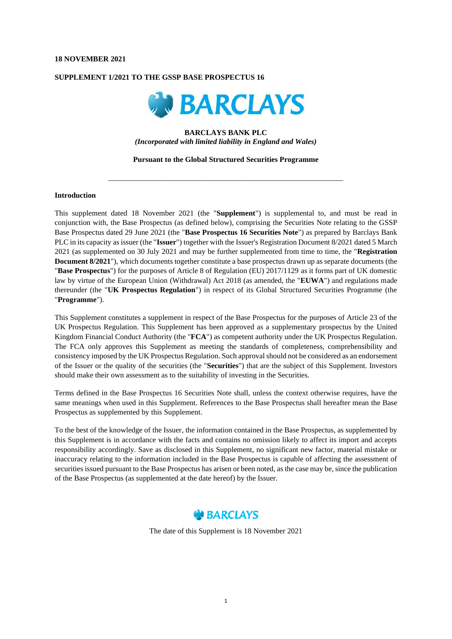### **18 NOVEMBER 2021**

## **SUPPLEMENT 1/2021 TO THE GSSP BASE PROSPECTUS 16**



# **BARCLAYS BANK PLC** *(Incorporated with limited liability in England and Wales)*

**Pursuant to the Global Structured Securities Programme**

\_\_\_\_\_\_\_\_\_\_\_\_\_\_\_\_\_\_\_\_\_\_\_\_\_\_\_\_\_\_\_\_\_\_\_\_\_\_\_\_\_\_\_\_\_\_\_\_\_\_\_\_\_\_\_\_\_\_\_\_\_\_

#### **Introduction**

This supplement dated 18 November 2021 (the "**Supplement**") is supplemental to, and must be read in conjunction with, the Base Prospectus (as defined below), comprising the Securities Note relating to the GSSP Base Prospectus dated 29 June 2021 (the "**Base Prospectus 16 Securities Note**") as prepared by Barclays Bank PLC in its capacity as issuer (the "**Issuer**") together with the Issuer's Registration Document 8/2021 dated 5 March 2021 (as supplemented on 30 July 2021 and may be further supplemented from time to time, the "**Registration Document 8/2021**"), which documents together constitute a base prospectus drawn up as separate documents (the "**Base Prospectus**") for the purposes of Article 8 of Regulation (EU) 2017/1129 as it forms part of UK domestic law by virtue of the European Union (Withdrawal) Act 2018 (as amended, the "**EUWA**") and regulations made thereunder (the "**UK Prospectus Regulation**") in respect of its Global Structured Securities Programme (the "**Programme**").

This Supplement constitutes a supplement in respect of the Base Prospectus for the purposes of Article 23 of the UK Prospectus Regulation. This Supplement has been approved as a supplementary prospectus by the United Kingdom Financial Conduct Authority (the "**FCA**") as competent authority under the UK Prospectus Regulation. The FCA only approves this Supplement as meeting the standards of completeness, comprehensibility and consistency imposed by the UK Prospectus Regulation. Such approval should not be considered as an endorsement of the Issuer or the quality of the securities (the "**Securities**") that are the subject of this Supplement. Investors should make their own assessment as to the suitability of investing in the Securities.

Terms defined in the Base Prospectus 16 Securities Note shall, unless the context otherwise requires, have the same meanings when used in this Supplement. References to the Base Prospectus shall hereafter mean the Base Prospectus as supplemented by this Supplement.

To the best of the knowledge of the Issuer, the information contained in the Base Prospectus, as supplemented by this Supplement is in accordance with the facts and contains no omission likely to affect its import and accepts responsibility accordingly. Save as disclosed in this Supplement, no significant new factor, material mistake or inaccuracy relating to the information included in the Base Prospectus is capable of affecting the assessment of securities issued pursuant to the Base Prospectus has arisen or been noted, as the case may be, since the publication of the Base Prospectus (as supplemented at the date hereof) by the Issuer.



The date of this Supplement is 18 November 2021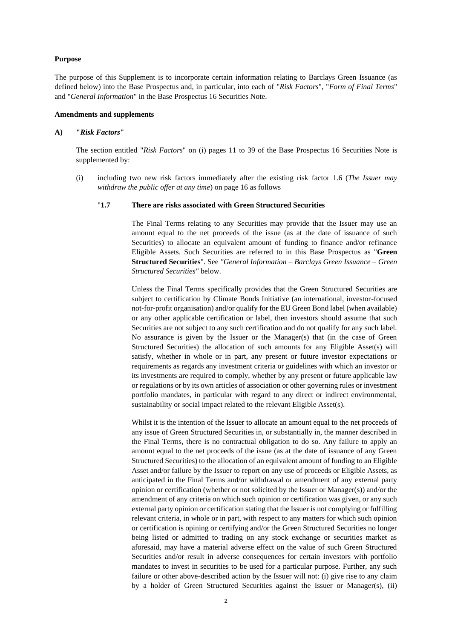### **Purpose**

The purpose of this Supplement is to incorporate certain information relating to Barclays Green Issuance (as defined below) into the Base Prospectus and, in particular, into each of "*Risk Factors*", "*Form of Final Terms*" and "*General Information*" in the Base Prospectus 16 Securities Note.

#### **Amendments and supplements**

## **A) "***Risk Factors***"**

The section entitled "*Risk Factors*" on (i) pages 11 to 39 of the Base Prospectus 16 Securities Note is supplemented by:

(i) including two new risk factors immediately after the existing risk factor 1.6 (*The Issuer may withdraw the public offer at any time*) on page 16 as follows

## "**1.7 There are risks associated with Green Structured Securities**

The Final Terms relating to any Securities may provide that the Issuer may use an amount equal to the net proceeds of the issue (as at the date of issuance of such Securities) to allocate an equivalent amount of funding to finance and/or refinance Eligible Assets. Such Securities are referred to in this Base Prospectus as "**Green Structured Securities**". See *"General Information – Barclays Green Issuance – Green Structured Securities"* below.

Unless the Final Terms specifically provides that the Green Structured Securities are subject to certification by Climate Bonds Initiative (an international, investor-focused not-for-profit organisation) and/or qualify for the EU Green Bond label (when available) or any other applicable certification or label, then investors should assume that such Securities are not subject to any such certification and do not qualify for any such label. No assurance is given by the Issuer or the Manager(s) that (in the case of Green Structured Securities) the allocation of such amounts for any Eligible Asset(s) will satisfy, whether in whole or in part, any present or future investor expectations or requirements as regards any investment criteria or guidelines with which an investor or its investments are required to comply, whether by any present or future applicable law or regulations or by its own articles of association or other governing rules or investment portfolio mandates, in particular with regard to any direct or indirect environmental, sustainability or social impact related to the relevant Eligible Asset(s).

Whilst it is the intention of the Issuer to allocate an amount equal to the net proceeds of any issue of Green Structured Securities in, or substantially in, the manner described in the Final Terms, there is no contractual obligation to do so. Any failure to apply an amount equal to the net proceeds of the issue (as at the date of issuance of any Green Structured Securities) to the allocation of an equivalent amount of funding to an Eligible Asset and/or failure by the Issuer to report on any use of proceeds or Eligible Assets, as anticipated in the Final Terms and/or withdrawal or amendment of any external party opinion or certification (whether or not solicited by the Issuer or Manager(s)) and/or the amendment of any criteria on which such opinion or certification was given, or any such external party opinion or certification stating that the Issuer is not complying or fulfilling relevant criteria, in whole or in part, with respect to any matters for which such opinion or certification is opining or certifying and/or the Green Structured Securities no longer being listed or admitted to trading on any stock exchange or securities market as aforesaid, may have a material adverse effect on the value of such Green Structured Securities and/or result in adverse consequences for certain investors with portfolio mandates to invest in securities to be used for a particular purpose. Further, any such failure or other above-described action by the Issuer will not: (i) give rise to any claim by a holder of Green Structured Securities against the Issuer or Manager(s), (ii)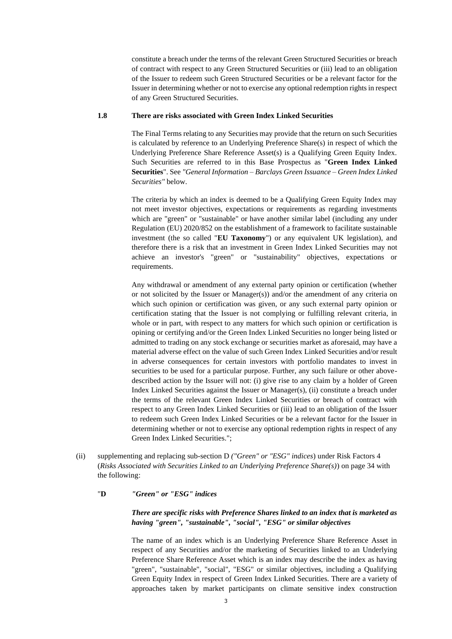constitute a breach under the terms of the relevant Green Structured Securities or breach of contract with respect to any Green Structured Securities or (iii) lead to an obligation of the Issuer to redeem such Green Structured Securities or be a relevant factor for the Issuer in determining whether or not to exercise any optional redemption rights in respect of any Green Structured Securities.

## **1.8 There are risks associated with Green Index Linked Securities**

The Final Terms relating to any Securities may provide that the return on such Securities is calculated by reference to an Underlying Preference Share(s) in respect of which the Underlying Preference Share Reference Asset(s) is a Qualifying Green Equity Index. Such Securities are referred to in this Base Prospectus as "**Green Index Linked Securities**". See *"General Information – Barclays Green Issuance – Green Index Linked Securities"* below.

The criteria by which an index is deemed to be a Qualifying Green Equity Index may not meet investor objectives, expectations or requirements as regarding investments which are "green" or "sustainable" or have another similar label (including any under Regulation (EU) 2020/852 on the establishment of a framework to facilitate sustainable investment (the so called "**EU Taxonomy**") or any equivalent UK legislation), and therefore there is a risk that an investment in Green Index Linked Securities may not achieve an investor's "green" or "sustainability" objectives, expectations or requirements.

Any withdrawal or amendment of any external party opinion or certification (whether or not solicited by the Issuer or Manager(s)) and/or the amendment of any criteria on which such opinion or certification was given, or any such external party opinion or certification stating that the Issuer is not complying or fulfilling relevant criteria, in whole or in part, with respect to any matters for which such opinion or certification is opining or certifying and/or the Green Index Linked Securities no longer being listed or admitted to trading on any stock exchange or securities market as aforesaid, may have a material adverse effect on the value of such Green Index Linked Securities and/or result in adverse consequences for certain investors with portfolio mandates to invest in securities to be used for a particular purpose. Further, any such failure or other abovedescribed action by the Issuer will not: (i) give rise to any claim by a holder of Green Index Linked Securities against the Issuer or Manager(s), (ii) constitute a breach under the terms of the relevant Green Index Linked Securities or breach of contract with respect to any Green Index Linked Securities or (iii) lead to an obligation of the Issuer to redeem such Green Index Linked Securities or be a relevant factor for the Issuer in determining whether or not to exercise any optional redemption rights in respect of any Green Index Linked Securities.";

(ii) supplementing and replacing sub-section D *("Green" or "ESG" indices*) under Risk Factors 4 (*Risks Associated with Securities Linked to an Underlying Preference Share(s)*) on page 34 with the following:

## "**D** *"Green" or "ESG" indices*

## *There are specific risks with Preference Shares linked to an index that is marketed as having "green", "sustainable", "social", "ESG" or similar objectives*

The name of an index which is an Underlying Preference Share Reference Asset in respect of any Securities and/or the marketing of Securities linked to an Underlying Preference Share Reference Asset which is an index may describe the index as having "green", "sustainable", "social", "ESG" or similar objectives, including a Qualifying Green Equity Index in respect of Green Index Linked Securities. There are a variety of approaches taken by market participants on climate sensitive index construction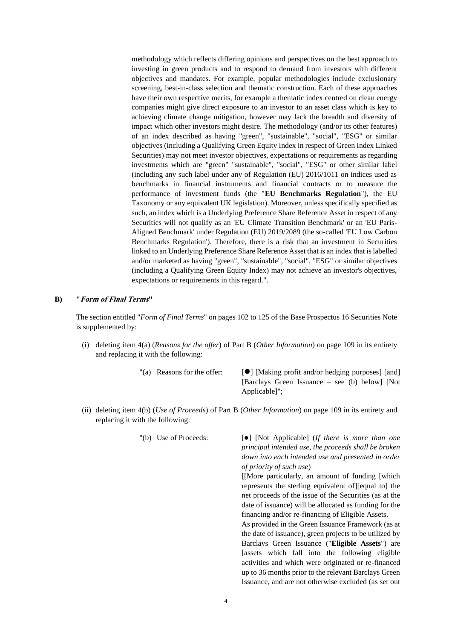methodology which reflects differing opinions and perspectives on the best approach to investing in green products and to respond to demand from investors with different objectives and mandates. For example, popular methodologies include exclusionary screening, best-in-class selection and thematic construction. Each of these approaches have their own respective merits, for example a thematic index centred on clean energy companies might give direct exposure to an investor to an asset class which is key to achieving climate change mitigation, however may lack the breadth and diversity of impact which other investors might desire. The methodology (and/or its other features) of an index described as having "green", "sustainable", "social", "ESG" or similar objectives (including a Qualifying Green Equity Index in respect of Green Index Linked Securities) may not meet investor objectives, expectations or requirements as regarding investments which are "green" "sustainable", "social", "ESG" or other similar label (including any such label under any of Regulation (EU) 2016/1011 on indices used as benchmarks in financial instruments and financial contracts or to measure the performance of investment funds (the "**EU Benchmarks Regulation**"), the EU Taxonomy or any equivalent UK legislation). Moreover, unless specifically specified as such, an index which is a Underlying Preference Share Reference Asset in respect of any Securities will not qualify as an 'EU Climate Transition Benchmark' or an 'EU Paris-Aligned Benchmark' under Regulation (EU) 2019/2089 (the so-called 'EU Low Carbon Benchmarks Regulation'). Therefore, there is a risk that an investment in Securities linked to an Underlying Preference Share Reference Asset that is an index that is labelled and/or marketed as having "green", "sustainable", "social", "ESG" or similar objectives (including a Qualifying Green Equity Index) may not achieve an investor's objectives, expectations or requirements in this regard.".

## **B) "Form of Final Terms"**

The section entitled "*Form of Final Terms*" on pages 102 to 125 of the Base Prospectus 16 Securities Note is supplemented by:

(i) deleting item 4(a) (*Reasons for the offer*) of Part B (*Other Information*) on page 109 in its entirety and replacing it with the following:

"(a) Reasons for the offer:  $[\bullet]$  [Making profit and/or hedging purposes] [and] [Barclays Green Issuance – see (b) below] [Not Applicable]";

(ii) deleting item 4(b) (*Use of Proceeds*) of Part B (*Other Information*) on page 109 in its entirety and replacing it with the following:

"(b) Use of Proceeds: [⚫] [Not Applicable] (*If there is more than one principal intended use, the proceeds shall be broken down into each intended use and presented in order of priority of such use*)

> [[More particularly, an amount of funding [which represents the sterling equivalent of][equal to] the net proceeds of the issue of the Securities (as at the date of issuance) will be allocated as funding for the financing and/or re-financing of Eligible Assets.

> As provided in the Green Issuance Framework (as at the date of issuance), green projects to be utilized by Barclays Green Issuance ("**Eligible Assets**") are [assets which fall into the following eligible activities and which were originated or re-financed up to 36 months prior to the relevant Barclays Green Issuance, and are not otherwise excluded (as set out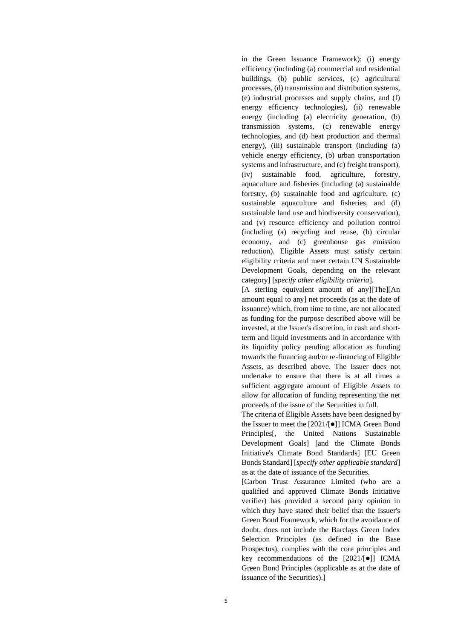in the Green Issuance Framework): (i) energy efficiency (including (a) commercial and residential buildings, (b) public services, (c) agricultural processes, (d) transmission and distribution systems, (e) industrial processes and supply chains, and (f) energy efficiency technologies), (ii) renewable energy (including (a) electricity generation, (b) transmission systems, (c) renewable energy technologies, and (d) heat production and thermal energy), (iii) sustainable transport (including (a) vehicle energy efficiency, (b) urban transportation systems and infrastructure, and (c) freight transport), (iv) sustainable food, agriculture, forestry, aquaculture and fisheries (including (a) sustainable forestry, (b) sustainable food and agriculture, (c) sustainable aquaculture and fisheries, and (d) sustainable land use and biodiversity conservation), and (v) resource efficiency and pollution control (including (a) recycling and reuse, (b) circular economy, and (c) greenhouse gas emission reduction). Eligible Assets must satisfy certain eligibility criteria and meet certain UN Sustainable Development Goals, depending on the relevant category] [*specify other eligibility criteria*].

[A sterling equivalent amount of any][The][An amount equal to any] net proceeds (as at the date of issuance) which, from time to time, are not allocated as funding for the purpose described above will be invested, at the Issuer's discretion, in cash and shortterm and liquid investments and in accordance with its liquidity policy pending allocation as funding towards the financing and/or re-financing of Eligible Assets, as described above. The Issuer does not undertake to ensure that there is at all times a sufficient aggregate amount of Eligible Assets to allow for allocation of funding representing the net proceeds of the issue of the Securities in full.

The criteria of Eligible Assets have been designed by the Issuer to meet the [2021/[⚫]] ICMA Green Bond Principles[, the United Nations Sustainable Development Goals] [and the Climate Bonds Initiative's Climate Bond Standards] [EU Green Bonds Standard] [*specify other applicable standard*] as at the date of issuance of the Securities.

[Carbon Trust Assurance Limited (who are a qualified and approved Climate Bonds Initiative verifier) has provided a second party opinion in which they have stated their belief that the Issuer's Green Bond Framework, which for the avoidance of doubt, does not include the Barclays Green Index Selection Principles (as defined in the Base Prospectus), complies with the core principles and key recommendations of the [2021/[⚫]] ICMA Green Bond Principles (applicable as at the date of issuance of the Securities).]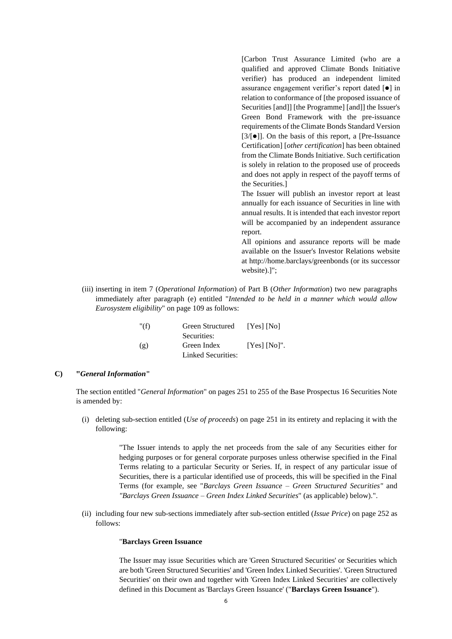[Carbon Trust Assurance Limited (who are a qualified and approved Climate Bonds Initiative verifier) has produced an independent limited assurance engagement verifier's report dated [⚫] in relation to conformance of [the proposed issuance of Securities [and]] [the Programme] [and]] the Issuer's Green Bond Framework with the pre-issuance requirements of the Climate Bonds Standard Version [3/[⚫]]. On the basis of this report, a [Pre-Issuance Certification] [*other certification*] has been obtained from the Climate Bonds Initiative. Such certification is solely in relation to the proposed use of proceeds and does not apply in respect of the payoff terms of the Securities.]

The Issuer will publish an investor report at least annually for each issuance of Securities in line with annual results. It is intended that each investor report will be accompanied by an independent assurance report.

All opinions and assurance reports will be made available on the Issuer's Investor Relations website at http://home.barclays/greenbonds (or its successor website).]";

(iii) inserting in item 7 (*Operational Information*) of Part B (*Other Information*) two new paragraphs immediately after paragraph (e) entitled "*Intended to be held in a manner which would allow Eurosystem eligibility*" on page 109 as follows:

| " $(f)$ | Green Structured   | $[Yes]$ $[No]$  |
|---------|--------------------|-----------------|
|         | Securities:        |                 |
| (g)     | Green Index        | $[Yes] [No]$ ". |
|         | Linked Securities: |                 |

# **C) "***General Information***"**

The section entitled "*General Information*" on pages 251 to 255 of the Base Prospectus 16 Securities Note is amended by:

(i) deleting sub-section entitled (*Use of proceeds*) on page 251 in its entirety and replacing it with the following:

> "The Issuer intends to apply the net proceeds from the sale of any Securities either for hedging purposes or for general corporate purposes unless otherwise specified in the Final Terms relating to a particular Security or Series. If, in respect of any particular issue of Securities, there is a particular identified use of proceeds, this will be specified in the Final Terms (for example, see "*Barclays Green Issuance – Green Structured Securities"* and *"Barclays Green Issuance – Green Index Linked Securities*" (as applicable) below).".

(ii) including four new sub-sections immediately after sub-section entitled (*Issue Price*) on page 252 as follows:

#### "**Barclays Green Issuance**

The Issuer may issue Securities which are 'Green Structured Securities' or Securities which are both 'Green Structured Securities' and 'Green Index Linked Securities'. 'Green Structured Securities' on their own and together with 'Green Index Linked Securities' are collectively defined in this Document as 'Barclays Green Issuance' ("**Barclays Green Issuance**").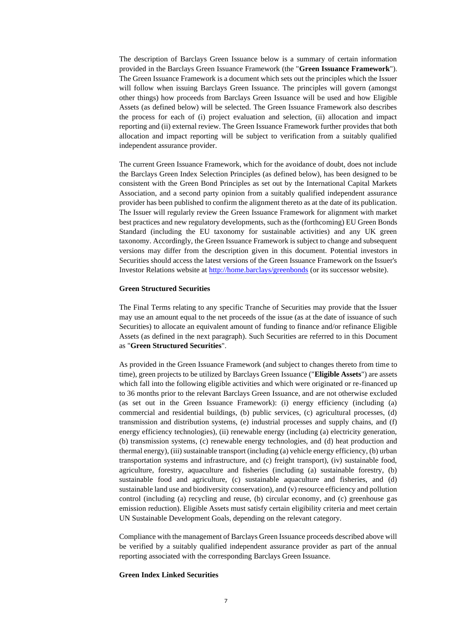The description of Barclays Green Issuance below is a summary of certain information provided in the Barclays Green Issuance Framework (the "**Green Issuance Framework**"). The Green Issuance Framework is a document which sets out the principles which the Issuer will follow when issuing Barclays Green Issuance. The principles will govern (amongst other things) how proceeds from Barclays Green Issuance will be used and how Eligible Assets (as defined below) will be selected. The Green Issuance Framework also describes the process for each of (i) project evaluation and selection, (ii) allocation and impact reporting and (ii) external review. The Green Issuance Framework further provides that both allocation and impact reporting will be subject to verification from a suitably qualified independent assurance provider.

The current Green Issuance Framework, which for the avoidance of doubt, does not include the Barclays Green Index Selection Principles (as defined below), has been designed to be consistent with the Green Bond Principles as set out by the International Capital Markets Association, and a second party opinion from a suitably qualified independent assurance provider has been published to confirm the alignment thereto as at the date of its publication. The Issuer will regularly review the Green Issuance Framework for alignment with market best practices and new regulatory developments, such as the (forthcoming) EU Green Bonds Standard (including the EU taxonomy for sustainable activities) and any UK green taxonomy. Accordingly, the Green Issuance Framework is subject to change and subsequent versions may differ from the description given in this document. Potential investors in Securities should access the latest versions of the Green Issuance Framework on the Issuer's Investor Relations website at<http://home.barclays/greenbonds> (or its successor website).

### **Green Structured Securities**

The Final Terms relating to any specific Tranche of Securities may provide that the Issuer may use an amount equal to the net proceeds of the issue (as at the date of issuance of such Securities) to allocate an equivalent amount of funding to finance and/or refinance Eligible Assets (as defined in the next paragraph). Such Securities are referred to in this Document as "**Green Structured Securities**".

As provided in the Green Issuance Framework (and subject to changes thereto from time to time), green projects to be utilized by Barclays Green Issuance ("**Eligible Assets**") are assets which fall into the following eligible activities and which were originated or re-financed up to 36 months prior to the relevant Barclays Green Issuance, and are not otherwise excluded (as set out in the Green Issuance Framework): (i) energy efficiency (including (a) commercial and residential buildings, (b) public services, (c) agricultural processes, (d) transmission and distribution systems, (e) industrial processes and supply chains, and (f) energy efficiency technologies), (ii) renewable energy (including (a) electricity generation, (b) transmission systems, (c) renewable energy technologies, and (d) heat production and thermal energy), (iii) sustainable transport (including (a) vehicle energy efficiency, (b) urban transportation systems and infrastructure, and (c) freight transport), (iv) sustainable food, agriculture, forestry, aquaculture and fisheries (including (a) sustainable forestry, (b) sustainable food and agriculture, (c) sustainable aquaculture and fisheries, and (d) sustainable land use and biodiversity conservation), and (v) resource efficiency and pollution control (including (a) recycling and reuse, (b) circular economy, and (c) greenhouse gas emission reduction). Eligible Assets must satisfy certain eligibility criteria and meet certain UN Sustainable Development Goals, depending on the relevant category.

Compliance with the management of Barclays Green Issuance proceeds described above will be verified by a suitably qualified independent assurance provider as part of the annual reporting associated with the corresponding Barclays Green Issuance.

#### **Green Index Linked Securities**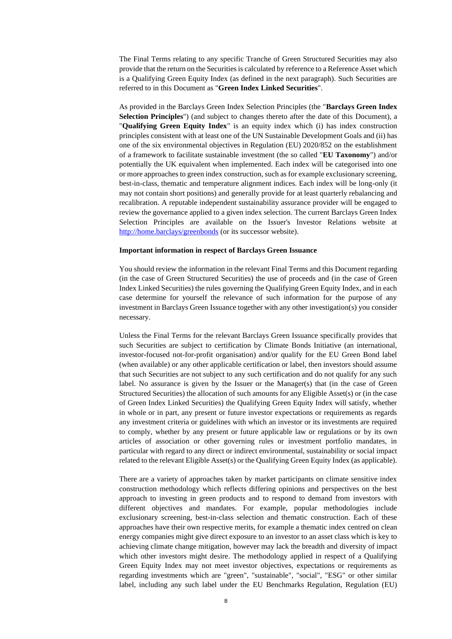The Final Terms relating to any specific Tranche of Green Structured Securities may also provide that the return on the Securities is calculated by reference to a Reference Asset which is a Qualifying Green Equity Index (as defined in the next paragraph). Such Securities are referred to in this Document as "**Green Index Linked Securities**".

As provided in the Barclays Green Index Selection Principles (the "**Barclays Green Index Selection Principles**") (and subject to changes thereto after the date of this Document), a "**Qualifying Green Equity Index**" is an equity index which (i) has index construction principles consistent with at least one of the UN Sustainable Development Goals and (ii) has one of the six environmental objectives in Regulation (EU) 2020/852 on the establishment of a framework to facilitate sustainable investment (the so called "**EU Taxonomy**") and/or potentially the UK equivalent when implemented. Each index will be categorised into one or more approaches to green index construction, such as for example exclusionary screening, best-in-class, thematic and temperature alignment indices. Each index will be long-only (it may not contain short positions) and generally provide for at least quarterly rebalancing and recalibration. A reputable independent sustainability assurance provider will be engaged to review the governance applied to a given index selection. The current Barclays Green Index Selection Principles are available on the Issuer's Investor Relations website at <http://home.barclays/greenbonds> (or its successor website).

#### **Important information in respect of Barclays Green Issuance**

You should review the information in the relevant Final Terms and this Document regarding (in the case of Green Structured Securities) the use of proceeds and (in the case of Green Index Linked Securities) the rules governing the Qualifying Green Equity Index, and in each case determine for yourself the relevance of such information for the purpose of any investment in Barclays Green Issuance together with any other investigation(s) you consider necessary.

Unless the Final Terms for the relevant Barclays Green Issuance specifically provides that such Securities are subject to certification by Climate Bonds Initiative (an international, investor-focused not-for-profit organisation) and/or qualify for the EU Green Bond label (when available) or any other applicable certification or label, then investors should assume that such Securities are not subject to any such certification and do not qualify for any such label. No assurance is given by the Issuer or the Manager(s) that (in the case of Green Structured Securities) the allocation of such amounts for any Eligible Asset(s) or (in the case of Green Index Linked Securities) the Qualifying Green Equity Index will satisfy, whether in whole or in part, any present or future investor expectations or requirements as regards any investment criteria or guidelines with which an investor or its investments are required to comply, whether by any present or future applicable law or regulations or by its own articles of association or other governing rules or investment portfolio mandates, in particular with regard to any direct or indirect environmental, sustainability or social impact related to the relevant Eligible Asset(s) or the Qualifying Green Equity Index (as applicable).

There are a variety of approaches taken by market participants on climate sensitive index construction methodology which reflects differing opinions and perspectives on the best approach to investing in green products and to respond to demand from investors with different objectives and mandates. For example, popular methodologies include exclusionary screening, best-in-class selection and thematic construction. Each of these approaches have their own respective merits, for example a thematic index centred on clean energy companies might give direct exposure to an investor to an asset class which is key to achieving climate change mitigation, however may lack the breadth and diversity of impact which other investors might desire. The methodology applied in respect of a Qualifying Green Equity Index may not meet investor objectives, expectations or requirements as regarding investments which are "green", "sustainable", "social", "ESG" or other similar label, including any such label under the EU Benchmarks Regulation, Regulation (EU)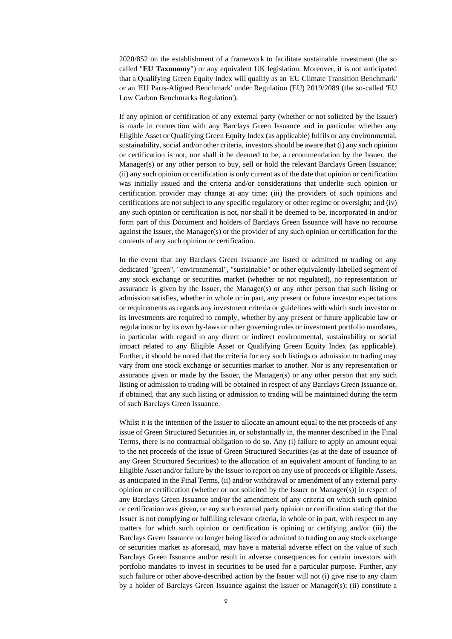2020/852 on the establishment of a framework to facilitate sustainable investment (the so called "**EU Taxonomy**") or any equivalent UK legislation. Moreover, it is not anticipated that a Qualifying Green Equity Index will qualify as an 'EU Climate Transition Benchmark' or an 'EU Paris-Aligned Benchmark' under Regulation (EU) 2019/2089 (the so-called 'EU Low Carbon Benchmarks Regulation').

If any opinion or certification of any external party (whether or not solicited by the Issuer) is made in connection with any Barclays Green Issuance and in particular whether any Eligible Asset or Qualifying Green Equity Index (as applicable) fulfils or any environmental, sustainability, social and/or other criteria, investors should be aware that (i) any such opinion or certification is not, nor shall it be deemed to be, a recommendation by the Issuer, the Manager(s) or any other person to buy, sell or hold the relevant Barclays Green Issuance; (ii) any such opinion or certification is only current as of the date that opinion or certification was initially issued and the criteria and/or considerations that underlie such opinion or certification provider may change at any time; (iii) the providers of such opinions and certifications are not subject to any specific regulatory or other regime or oversight; and (iv) any such opinion or certification is not, nor shall it be deemed to be, incorporated in and/or form part of this Document and holders of Barclays Green Issuance will have no recourse against the Issuer, the Manager(s) or the provider of any such opinion or certification for the contents of any such opinion or certification.

In the event that any Barclays Green Issuance are listed or admitted to trading on any dedicated "green", "environmental", "sustainable" or other equivalently-labelled segment of any stock exchange or securities market (whether or not regulated), no representation or assurance is given by the Issuer, the Manager(s) or any other person that such listing or admission satisfies, whether in whole or in part, any present or future investor expectations or requirements as regards any investment criteria or guidelines with which such investor or its investments are required to comply, whether by any present or future applicable law or regulations or by its own by-laws or other governing rules or investment portfolio mandates, in particular with regard to any direct or indirect environmental, sustainability or social impact related to any Eligible Asset or Qualifying Green Equity Index (as applicable). Further, it should be noted that the criteria for any such listings or admission to trading may vary from one stock exchange or securities market to another. Nor is any representation or assurance given or made by the Issuer, the Manager(s) or any other person that any such listing or admission to trading will be obtained in respect of any Barclays Green Issuance or, if obtained, that any such listing or admission to trading will be maintained during the term of such Barclays Green Issuance.

Whilst it is the intention of the Issuer to allocate an amount equal to the net proceeds of any issue of Green Structured Securities in, or substantially in, the manner described in the Final Terms, there is no contractual obligation to do so. Any (i) failure to apply an amount equal to the net proceeds of the issue of Green Structured Securities (as at the date of issuance of any Green Structured Securities) to the allocation of an equivalent amount of funding to an Eligible Asset and/or failure by the Issuer to report on any use of proceeds or Eligible Assets, as anticipated in the Final Terms, (ii) and/or withdrawal or amendment of any external party opinion or certification (whether or not solicited by the Issuer or Manager(s)) in respect of any Barclays Green Issuance and/or the amendment of any criteria on which such opinion or certification was given, or any such external party opinion or certification stating that the Issuer is not complying or fulfilling relevant criteria, in whole or in part, with respect to any matters for which such opinion or certification is opining or certifying and/or (iii) the Barclays Green Issuance no longer being listed or admitted to trading on any stock exchange or securities market as aforesaid, may have a material adverse effect on the value of such Barclays Green Issuance and/or result in adverse consequences for certain investors with portfolio mandates to invest in securities to be used for a particular purpose. Further, any such failure or other above-described action by the Issuer will not (i) give rise to any claim by a holder of Barclays Green Issuance against the Issuer or Manager(s); (ii) constitute a